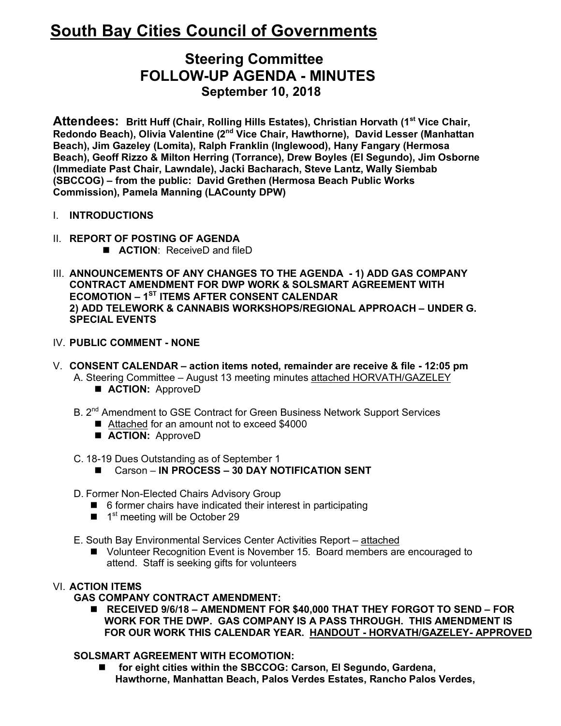# **South Bay Cities Council of Governments**

# **Steering Committee FOLLOW-UP AGENDA - MINUTES September 10, 2018**

**Attendees: Britt Huff (Chair, Rolling Hills Estates), Christian Horvath (1st Vice Chair, Redondo Beach), Olivia Valentine (2nd Vice Chair, Hawthorne), David Lesser (Manhattan Beach), Jim Gazeley (Lomita), Ralph Franklin (Inglewood), Hany Fangary (Hermosa Beach), Geoff Rizzo & Milton Herring (Torrance), Drew Boyles (El Segundo), Jim Osborne (Immediate Past Chair, Lawndale), Jacki Bacharach, Steve Lantz, Wally Siembab (SBCCOG) – from the public: David Grethen (Hermosa Beach Public Works Commission), Pamela Manning (LACounty DPW)**

- I. **INTRODUCTIONS**
- II. **REPORT OF POSTING OF AGENDA E ACTION:** ReceiveD and fileD
- III. **ANNOUNCEMENTS OF ANY CHANGES TO THE AGENDA - 1) ADD GAS COMPANY CONTRACT AMENDMENT FOR DWP WORK & SOLSMART AGREEMENT WITH ECOMOTION – 1ST ITEMS AFTER CONSENT CALENDAR 2) ADD TELEWORK & CANNABIS WORKSHOPS/REGIONAL APPROACH – UNDER G. SPECIAL EVENTS**
- IV. **PUBLIC COMMENT - NONE**
- V. **CONSENT CALENDAR – action items noted, remainder are receive & file - 12:05 pm** A. Steering Committee – August 13 meeting minutes attached HORVATH/GAZELEY  $\blacksquare$  **ACTION:** ApproveD
	- B. 2<sup>nd</sup> Amendment to GSE Contract for Green Business Network Support Services
		- Attached for an amount not to exceed \$4000
		- $\blacksquare$  **ACTION:** ApproveD

C. 18-19 Dues Outstanding as of September 1

- Carson **IN PROCESS 30 DAY NOTIFICATION SENT**
- D. Former Non-Elected Chairs Advisory Group
	- $\blacksquare$  6 former chairs have indicated their interest in participating
	- $\blacksquare$  1<sup>st</sup> meeting will be October 29
- E. South Bay Environmental Services Center Activities Report attached
	- Volunteer Recognition Event is November 15. Board members are encouraged to attend. Staff is seeking gifts for volunteers

# VI. **ACTION ITEMS**

#### **GAS COMPANY CONTRACT AMENDMENT:**

■ RECEIVED 9/6/18 – AMENDMENT FOR \$40,000 THAT THEY FORGOT TO SEND – FOR  **WORK FOR THE DWP. GAS COMPANY IS A PASS THROUGH. THIS AMENDMENT IS FOR OUR WORK THIS CALENDAR YEAR. HANDOUT - HORVATH/GAZELEY- APPROVED**

# **SOLSMART AGREEMENT WITH ECOMOTION:**

■ for eight cities within the SBCCOG: Carson, El Segundo, Gardena,  **Hawthorne, Manhattan Beach, Palos Verdes Estates, Rancho Palos Verdes,**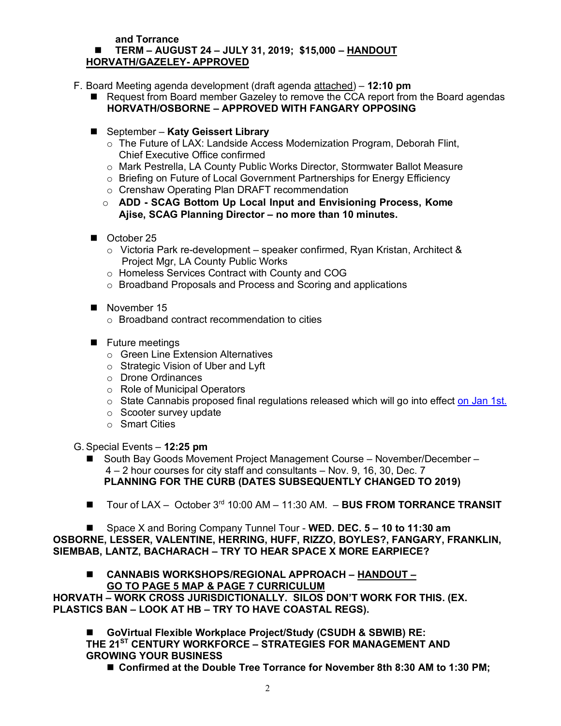#### **and Torrance**

#### n **TERM – AUGUST 24 – JULY 31, 2019; \$15,000 – HANDOUT HORVATH/GAZELEY- APPROVED**

- F. Board Meeting agenda development (draft agenda attached) **12:10 pm**
	- Request from Board member Gazeley to remove the CCA report from the Board agendas  **HORVATH/OSBORNE – APPROVED WITH FANGARY OPPOSING**
	- September **Katy Geissert Library** 
		- $\circ$  The Future of LAX: Landside Access Modernization Program, Deborah Flint, Chief Executive Office confirmed
		- o Mark Pestrella, LA County Public Works Director, Stormwater Ballot Measure
		- o Briefing on Future of Local Government Partnerships for Energy Efficiency
		- o Crenshaw Operating Plan DRAFT recommendation
		- o **ADD - SCAG Bottom Up Local Input and Envisioning Process, Kome Ajise, SCAG Planning Director – no more than 10 minutes.**
	- October 25
		- o Victoria Park re-development speaker confirmed, Ryan Kristan, Architect & Project Mgr, LA County Public Works
		- o Homeless Services Contract with County and COG
		- o Broadband Proposals and Process and Scoring and applications
	- $\blacksquare$  November 15
		- o Broadband contract recommendation to cities
	- $\blacksquare$  Future meetings
		- oGreen Line Extension Alternatives
		- o Strategic Vision of Uber and Lyft
		- o Drone Ordinances
		- o Role of Municipal Operators
		- $\circ$  State Cannabis proposed final regulations released which will go into effect on Jan 1st.
		- o Scooter survey update
		- o Smart Cities

G.Special Events – **12:25 pm**

- n South Bay Goods Movement Project Management Course November/December 4 – 2 hour courses for city staff and consultants – Nov. 9, 16, 30, Dec. 7  **PLANNING FOR THE CURB (DATES SUBSEQUENTLY CHANGED TO 2019)**
- Tour of LAX October 3<sup>rd</sup> 10:00 AM 11:30 AM. **BUS FROM TORRANCE TRANSIT**

■ Space X and Boring Company Tunnel Tour - WED. DEC. 5 – 10 to 11:30 am **OSBORNE, LESSER, VALENTINE, HERRING, HUFF, RIZZO, BOYLES?, FANGARY, FRANKLIN, SIEMBAB, LANTZ, BACHARACH – TRY TO HEAR SPACE X MORE EARPIECE?**

n **CANNABIS WORKSHOPS/REGIONAL APPROACH – HANDOUT – GO TO PAGE 5 MAP & PAGE 7 CURRICULUM**

**HORVATH – WORK CROSS JURISDICTIONALLY. SILOS DON'T WORK FOR THIS. (EX. PLASTICS BAN – LOOK AT HB – TRY TO HAVE COASTAL REGS).** 

n **GoVirtual Flexible Workplace Project/Study (CSUDH & SBWIB) RE: THE 21ST CENTURY WORKFORCE – STRATEGIES FOR MANAGEMENT AND GROWING YOUR BUSINESS**

■ Confirmed at the Double Tree Torrance for November 8th 8:30 AM to 1:30 PM: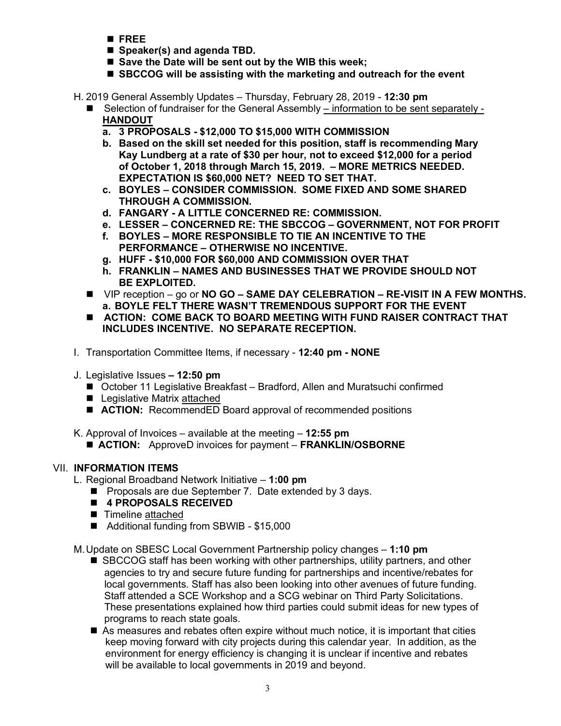- n **FREE**
- Speaker(s) and agenda TBD.
- Save the Date will be sent out by the WIB this week;
- **SBCCOG** will be assisting with the marketing and outreach for the event

H. 2019 General Assembly Updates – Thursday, February 28, 2019 - **12:30 pm**

- Selection of fundraiser for the General Assembly information to be sent separately -**HANDOUT**
	- **a. 3 PROPOSALS - \$12,000 TO \$15,000 WITH COMMISSION**
	- **b. Based on the skill set needed for this position, staff is recommending Mary Kay Lundberg at a rate of \$30 per hour, not to exceed \$12,000 for a period of October 1, 2018 through March 15, 2019. – MORE METRICS NEEDED. EXPECTATION IS \$60,000 NET? NEED TO SET THAT.**
	- **c. BOYLES – CONSIDER COMMISSION. SOME FIXED AND SOME SHARED THROUGH A COMMISSION.**
	- **d. FANGARY - A LITTLE CONCERNED RE: COMMISSION.**
	- **e. LESSER – CONCERNED RE: THE SBCCOG – GOVERNMENT, NOT FOR PROFIT**
	- **f. BOYLES – MORE RESPONSIBLE TO TIE AN INCENTIVE TO THE PERFORMANCE – OTHERWISE NO INCENTIVE.**
	- **g. HUFF - \$10,000 FOR \$60,000 AND COMMISSION OVER THAT**
	- **h. FRANKLIN – NAMES AND BUSINESSES THAT WE PROVIDE SHOULD NOT BE EXPLOITED.**
- VIP reception go or **NO GO SAME DAY CELEBRATION RE-VISIT IN A FEW MONTHS. a. BOYLE FELT THERE WASN'T TREMENDOUS SUPPORT FOR THE EVENT**
- $\blacksquare$  ACTION: COME BACK TO BOARD MEETING WITH FUND RAISER CONTRACT THAT **INCLUDES INCENTIVE. NO SEPARATE RECEPTION.**
- I. Transportation Committee Items, if necessary **12:40 pm - NONE**
- J. Legislative Issues **– 12:50 pm**
	- October 11 Legislative Breakfast Bradford, Allen and Muratsuchi confirmed
	- Legislative Matrix attached
	- **ACTION:** RecommendED Board approval of recommended positions
- K. Approval of Invoices available at the meeting **12:55 pm**
	- **ACTION:** ApproveD invoices for payment **FRANKLIN/OSBORNE**

# VII. **INFORMATION ITEMS**

- L. Regional Broadband Network Initiative **1:00 pm**
	- Proposals are due September 7. Date extended by 3 days.
	- 4 PROPOSALS RECEIVED
	- Timeline attached
	- Additional funding from SBWIB \$15,000

# M.Update on SBESC Local Government Partnership policy changes – **1:10 pm**

- $\blacksquare$  SBCCOG staff has been working with other partnerships, utility partners, and other agencies to try and secure future funding for partnerships and incentive/rebates for local governments. Staff has also been looking into other avenues of future funding. Staff attended a SCE Workshop and a SCG webinar on Third Party Solicitations. These presentations explained how third parties could submit ideas for new types of programs to reach state goals.
- $\blacksquare$  As measures and rebates often expire without much notice, it is important that cities keep moving forward with city projects during this calendar year. In addition, as the environment for energy efficiency is changing it is unclear if incentive and rebates will be available to local governments in 2019 and beyond.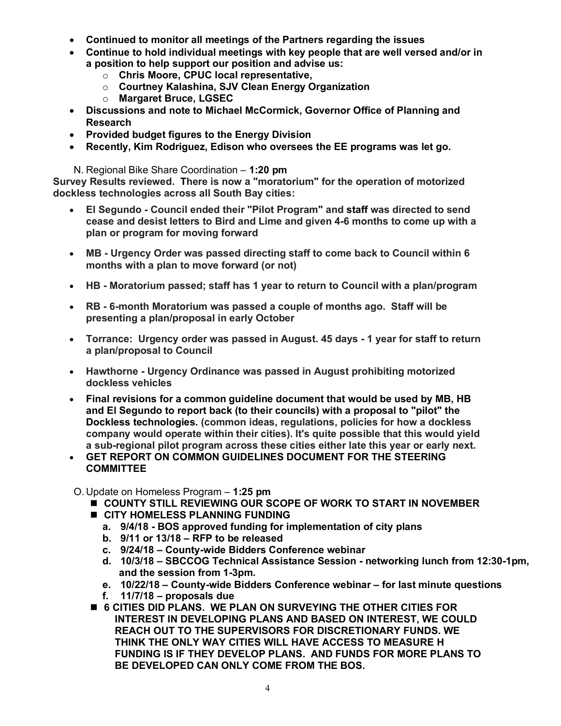- **Continued to monitor all meetings of the Partners regarding the issues**
- **Continue to hold individual meetings with key people that are well versed and/or in a position to help support our position and advise us:** 
	- o **Chris Moore, CPUC local representative,**
	- o **Courtney Kalashina, SJV Clean Energy Organization**
	- o **Margaret Bruce, LGSEC**
- **Discussions and note to Michael McCormick, Governor Office of Planning and Research**
- **Provided budget figures to the Energy Division**
- **Recently, Kim Rodriguez, Edison who oversees the EE programs was let go.**

N. Regional Bike Share Coordination – **1:20 pm**

**Survey Results reviewed. There is now a "moratorium" for the operation of motorized dockless technologies across all South Bay cities:**

- **El Segundo - Council ended their "Pilot Program" and staff was directed to send cease and desist letters to Bird and Lime and given 4-6 months to come up with a plan or program for moving forward**
- **MB - Urgency Order was passed directing staff to come back to Council within 6 months with a plan to move forward (or not)**
- **HB - Moratorium passed; staff has 1 year to return to Council with a plan/program**
- **RB - 6-month Moratorium was passed a couple of months ago. Staff will be presenting a plan/proposal in early October**
- **Torrance: Urgency order was passed in August. 45 days - 1 year for staff to return a plan/proposal to Council**
- **Hawthorne - Urgency Ordinance was passed in August prohibiting motorized dockless vehicles**
- **Final revisions for a common guideline document that would be used by MB, HB and El Segundo to report back (to their councils) with a proposal to "pilot" the Dockless technologies. (common ideas, regulations, policies for how a dockless company would operate within their cities). It's quite possible that this would yield a sub-regional pilot program across these cities either late this year or early next.**
- **GET REPORT ON COMMON GUIDELINES DOCUMENT FOR THE STEERING COMMITTEE**

O. Update on Homeless Program – **1:25 pm**

- **n** COUNTY STILL REVIEWING OUR SCOPE OF WORK TO START IN NOVEMBER
- $\blacksquare$  **CITY HOMELESS PLANNING FUNDING** 
	- **a. 9/4/18 - BOS approved funding for implementation of city plans**
	- **b. 9/11 or 13/18 – RFP to be released**
	- **c. 9/24/18 – County-wide Bidders Conference webinar**
	- **d. 10/3/18 – SBCCOG Technical Assistance Session - networking lunch from 12:30-1pm, and the session from 1-3pm.**
	- **e. 10/22/18 – County-wide Bidders Conference webinar – for last minute questions**
	- **f. 11/7/18 – proposals due**
- n **6 CITIES DID PLANS. WE PLAN ON SURVEYING THE OTHER CITIES FOR INTEREST IN DEVELOPING PLANS AND BASED ON INTEREST, WE COULD REACH OUT TO THE SUPERVISORS FOR DISCRETIONARY FUNDS. WE THINK THE ONLY WAY CITIES WILL HAVE ACCESS TO MEASURE H FUNDING IS IF THEY DEVELOP PLANS. AND FUNDS FOR MORE PLANS TO BE DEVELOPED CAN ONLY COME FROM THE BOS.**